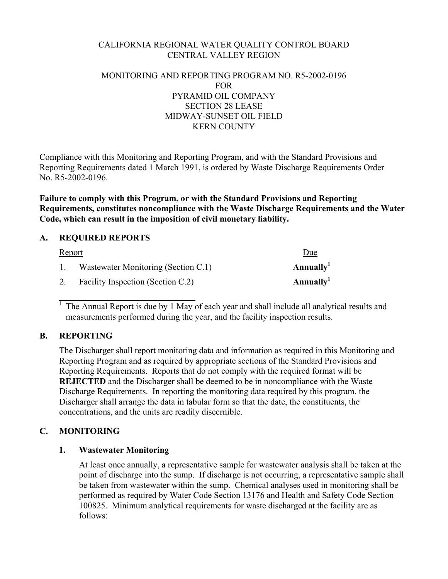# CALIFORNIA REGIONAL WATER QUALITY CONTROL BOARD CENTRAL VALLEY REGION

## MONITORING AND REPORTING PROGRAM NO. R5-2002-0196 FOR PYRAMID OIL COMPANY SECTION 28 LEASE MIDWAY-SUNSET OIL FIELD KERN COUNTY

Compliance with this Monitoring and Reporting Program, and with the Standard Provisions and Reporting Requirements dated 1 March 1991, is ordered by Waste Discharge Requirements Order No. R5-2002-0196.

**Failure to comply with this Program, or with the Standard Provisions and Reporting Requirements, constitutes noncompliance with the Waste Discharge Requirements and the Water Code, which can result in the imposition of civil monetary liability.** 

## **A. REQUIRED REPORTS**

| <u>Report</u> |                                     | Due                   |
|---------------|-------------------------------------|-----------------------|
|               | Wastewater Monitoring (Section C.1) | Annually <sup>1</sup> |
| 2.            | Facility Inspection (Section C.2)   | Annually <sup>1</sup> |

1 The Annual Report is due by 1 May of each year and shall include all analytical results and measurements performed during the year, and the facility inspection results.

#### **B. REPORTING**

 $\overline{a}$ 

The Discharger shall report monitoring data and information as required in this Monitoring and Reporting Program and as required by appropriate sections of the Standard Provisions and Reporting Requirements. Reports that do not comply with the required format will be **REJECTED** and the Discharger shall be deemed to be in noncompliance with the Waste Discharge Requirements. In reporting the monitoring data required by this program, the Discharger shall arrange the data in tabular form so that the date, the constituents, the concentrations, and the units are readily discernible.

# **C. MONITORING**

# **1. Wastewater Monitoring**

At least once annually, a representative sample for wastewater analysis shall be taken at the point of discharge into the sump. If discharge is not occurring, a representative sample shall be taken from wastewater within the sump. Chemical analyses used in monitoring shall be performed as required by Water Code Section 13176 and Health and Safety Code Section 100825. Minimum analytical requirements for waste discharged at the facility are as follows: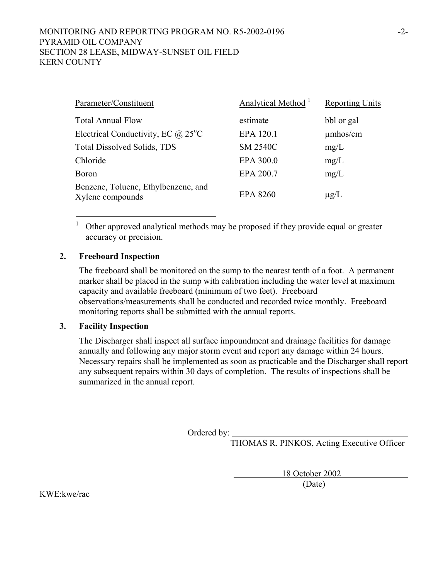## MONITORING AND REPORTING PROGRAM NO. R5-2002-0196 PYRAMID OIL COMPANY SECTION 28 LEASE, MIDWAY-SUNSET OIL FIELD KERN COUNTY

| Parameter/Constituent                                   | Analytical Method <sup>1</sup> | <b>Reporting Units</b> |
|---------------------------------------------------------|--------------------------------|------------------------|
| <b>Total Annual Flow</b>                                | estimate                       | bbl or gal             |
| Electrical Conductivity, EC $\omega$ 25 <sup>o</sup> C  | EPA 120.1                      | $\mu$ mhos/cm          |
| <b>Total Dissolved Solids, TDS</b>                      | <b>SM 2540C</b>                | mg/L                   |
| Chloride                                                | EPA 300.0                      | mg/L                   |
| <b>Boron</b>                                            | EPA 200.7                      | mg/L                   |
| Benzene, Toluene, Ethylbenzene, and<br>Xylene compounds | <b>EPA 8260</b>                | $\mu$ g/L              |

1 Other approved analytical methods may be proposed if they provide equal or greater accuracy or precision.

#### **2. Freeboard Inspection**

 $\overline{a}$ 

The freeboard shall be monitored on the sump to the nearest tenth of a foot. A permanent marker shall be placed in the sump with calibration including the water level at maximum capacity and available freeboard (minimum of two feet). Freeboard observations/measurements shall be conducted and recorded twice monthly. Freeboard monitoring reports shall be submitted with the annual reports.

#### **3. Facility Inspection**

The Discharger shall inspect all surface impoundment and drainage facilities for damage annually and following any major storm event and report any damage within 24 hours. Necessary repairs shall be implemented as soon as practicable and the Discharger shall report any subsequent repairs within 30 days of completion. The results of inspections shall be summarized in the annual report.

Ordered by:

THOMAS R. PINKOS, Acting Executive Officer

18 October 2002

(Date)

KWE:kwe/rac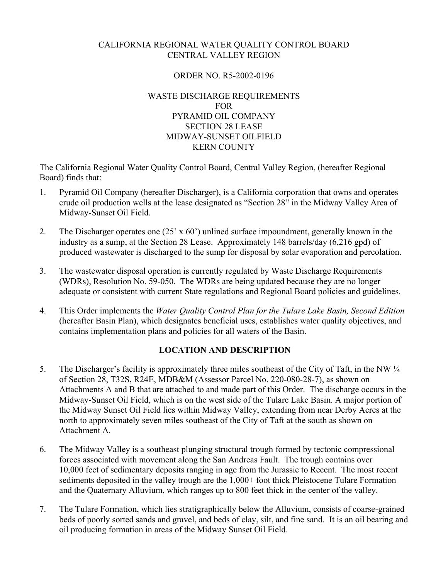# CALIFORNIA REGIONAL WATER QUALITY CONTROL BOARD CENTRAL VALLEY REGION

## ORDER NO. R5-2002-0196

## WASTE DISCHARGE REQUIREMENTS FOR PYRAMID OIL COMPANY SECTION 28 LEASE MIDWAY-SUNSET OILFIELD KERN COUNTY

The California Regional Water Quality Control Board, Central Valley Region, (hereafter Regional Board) finds that:

- 1. Pyramid Oil Company (hereafter Discharger), is a California corporation that owns and operates crude oil production wells at the lease designated as "Section 28" in the Midway Valley Area of Midway-Sunset Oil Field.
- 2. The Discharger operates one (25' x 60') unlined surface impoundment, generally known in the industry as a sump, at the Section 28 Lease. Approximately 148 barrels/day (6,216 gpd) of produced wastewater is discharged to the sump for disposal by solar evaporation and percolation.
- 3. The wastewater disposal operation is currently regulated by Waste Discharge Requirements (WDRs), Resolution No. 59-050. The WDRs are being updated because they are no longer adequate or consistent with current State regulations and Regional Board policies and guidelines.
- 4. This Order implements the *Water Quality Control Plan for the Tulare Lake Basin, Second Edition*  (hereafter Basin Plan), which designates beneficial uses, establishes water quality objectives, and contains implementation plans and policies for all waters of the Basin.

# **LOCATION AND DESCRIPTION**

- 5. The Discharger's facility is approximately three miles southeast of the City of Taft, in the NW ¼ of Section 28, T32S, R24E, MDB&M (Assessor Parcel No. 220-080-28-7), as shown on Attachments A and B that are attached to and made part of this Order. The discharge occurs in the Midway-Sunset Oil Field, which is on the west side of the Tulare Lake Basin. A major portion of the Midway Sunset Oil Field lies within Midway Valley, extending from near Derby Acres at the north to approximately seven miles southeast of the City of Taft at the south as shown on Attachment A.
- 6. The Midway Valley is a southeast plunging structural trough formed by tectonic compressional forces associated with movement along the San Andreas Fault. The trough contains over 10,000 feet of sedimentary deposits ranging in age from the Jurassic to Recent. The most recent sediments deposited in the valley trough are the 1,000+ foot thick Pleistocene Tulare Formation and the Quaternary Alluvium, which ranges up to 800 feet thick in the center of the valley.
- 7. The Tulare Formation, which lies stratigraphically below the Alluvium, consists of coarse-grained beds of poorly sorted sands and gravel, and beds of clay, silt, and fine sand. It is an oil bearing and oil producing formation in areas of the Midway Sunset Oil Field.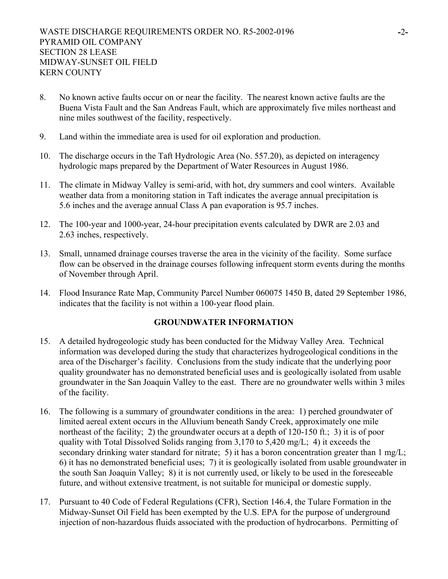- 8. No known active faults occur on or near the facility. The nearest known active faults are the Buena Vista Fault and the San Andreas Fault, which are approximately five miles northeast and nine miles southwest of the facility, respectively.
- 9. Land within the immediate area is used for oil exploration and production.
- 10. The discharge occurs in the Taft Hydrologic Area (No. 557.20), as depicted on interagency hydrologic maps prepared by the Department of Water Resources in August 1986.
- 11. The climate in Midway Valley is semi-arid, with hot, dry summers and cool winters. Available weather data from a monitoring station in Taft indicates the average annual precipitation is 5.6 inches and the average annual Class A pan evaporation is 95.7 inches.
- 12. The 100-year and 1000-year, 24-hour precipitation events calculated by DWR are 2.03 and 2.63 inches, respectively.
- 13. Small, unnamed drainage courses traverse the area in the vicinity of the facility. Some surface flow can be observed in the drainage courses following infrequent storm events during the months of November through April.
- 14. Flood Insurance Rate Map, Community Parcel Number 060075 1450 B, dated 29 September 1986, indicates that the facility is not within a 100-year flood plain.

## **GROUNDWATER INFORMATION**

- 15. A detailed hydrogeologic study has been conducted for the Midway Valley Area. Technical information was developed during the study that characterizes hydrogeological conditions in the area of the Discharger's facility. Conclusions from the study indicate that the underlying poor quality groundwater has no demonstrated beneficial uses and is geologically isolated from usable groundwater in the San Joaquin Valley to the east. There are no groundwater wells within 3 miles of the facility.
- 16. The following is a summary of groundwater conditions in the area: 1) perched groundwater of limited aereal extent occurs in the Alluvium beneath Sandy Creek, approximately one mile northeast of the facility; 2) the groundwater occurs at a depth of 120-150 ft.; 3) it is of poor quality with Total Dissolved Solids ranging from 3,170 to 5,420 mg/L; 4) it exceeds the secondary drinking water standard for nitrate; 5) it has a boron concentration greater than 1 mg/L; 6) it has no demonstrated beneficial uses; 7) it is geologically isolated from usable groundwater in the south San Joaquin Valley; 8) it is not currently used, or likely to be used in the foreseeable future, and without extensive treatment, is not suitable for municipal or domestic supply.
- 17. Pursuant to 40 Code of Federal Regulations (CFR), Section 146.4, the Tulare Formation in the Midway-Sunset Oil Field has been exempted by the U.S. EPA for the purpose of underground injection of non-hazardous fluids associated with the production of hydrocarbons. Permitting of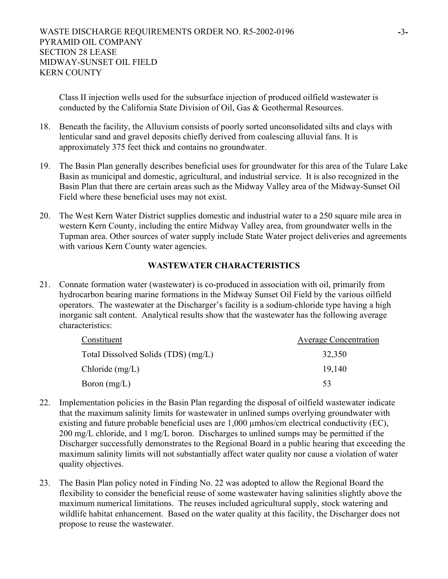Class II injection wells used for the subsurface injection of produced oilfield wastewater is conducted by the California State Division of Oil, Gas & Geothermal Resources.

- 18. Beneath the facility, the Alluvium consists of poorly sorted unconsolidated silts and clays with lenticular sand and gravel deposits chiefly derived from coalescing alluvial fans. It is approximately 375 feet thick and contains no groundwater.
- 19. The Basin Plan generally describes beneficial uses for groundwater for this area of the Tulare Lake Basin as municipal and domestic, agricultural, and industrial service. It is also recognized in the Basin Plan that there are certain areas such as the Midway Valley area of the Midway-Sunset Oil Field where these beneficial uses may not exist.
- 20. The West Kern Water District supplies domestic and industrial water to a 250 square mile area in western Kern County, including the entire Midway Valley area, from groundwater wells in the Tupman area. Other sources of water supply include State Water project deliveries and agreements with various Kern County water agencies.

# **WASTEWATER CHARACTERISTICS**

21. Connate formation water (wastewater) is co-produced in association with oil, primarily from hydrocarbon bearing marine formations in the Midway Sunset Oil Field by the various oilfield operators. The wastewater at the Discharger's facility is a sodium-chloride type having a high inorganic salt content. Analytical results show that the wastewater has the following average characteristics:

| Constituent                         | <b>Average Concentration</b> |  |
|-------------------------------------|------------------------------|--|
| Total Dissolved Solids (TDS) (mg/L) | 32,350                       |  |
| Chloride $(mg/L)$                   | 19.140                       |  |
| Boron $(mg/L)$                      | 53                           |  |

- 22. Implementation policies in the Basin Plan regarding the disposal of oilfield wastewater indicate that the maximum salinity limits for wastewater in unlined sumps overlying groundwater with existing and future probable beneficial uses are 1,000 µmhos/cm electrical conductivity (EC), 200 mg/L chloride, and 1 mg/L boron. Discharges to unlined sumps may be permitted if the Discharger successfully demonstrates to the Regional Board in a public hearing that exceeding the maximum salinity limits will not substantially affect water quality nor cause a violation of water quality objectives.
- 23. The Basin Plan policy noted in Finding No. 22 was adopted to allow the Regional Board the flexibility to consider the beneficial reuse of some wastewater having salinities slightly above the maximum numerical limitations. The reuses included agricultural supply, stock watering and wildlife habitat enhancement. Based on the water quality at this facility, the Discharger does not propose to reuse the wastewater.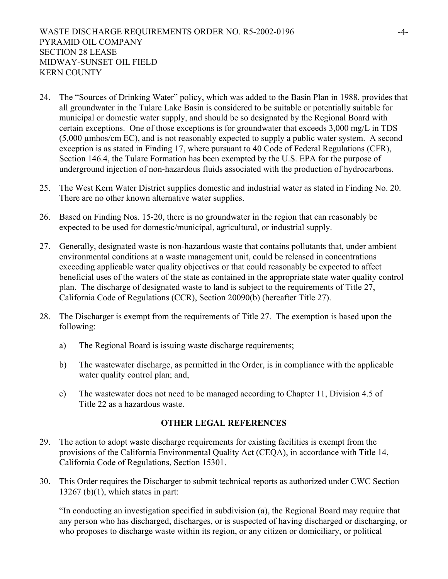- 24. The "Sources of Drinking Water" policy, which was added to the Basin Plan in 1988, provides that all groundwater in the Tulare Lake Basin is considered to be suitable or potentially suitable for municipal or domestic water supply, and should be so designated by the Regional Board with certain exceptions. One of those exceptions is for groundwater that exceeds 3,000 mg/L in TDS (5,000 µmhos/cm EC), and is not reasonably expected to supply a public water system. A second exception is as stated in Finding 17, where pursuant to 40 Code of Federal Regulations (CFR), Section 146.4, the Tulare Formation has been exempted by the U.S. EPA for the purpose of underground injection of non-hazardous fluids associated with the production of hydrocarbons.
- 25. The West Kern Water District supplies domestic and industrial water as stated in Finding No. 20. There are no other known alternative water supplies.
- 26. Based on Finding Nos. 15-20, there is no groundwater in the region that can reasonably be expected to be used for domestic/municipal, agricultural, or industrial supply.
- 27. Generally, designated waste is non-hazardous waste that contains pollutants that, under ambient environmental conditions at a waste management unit, could be released in concentrations exceeding applicable water quality objectives or that could reasonably be expected to affect beneficial uses of the waters of the state as contained in the appropriate state water quality control plan. The discharge of designated waste to land is subject to the requirements of Title 27, California Code of Regulations (CCR), Section 20090(b) (hereafter Title 27).
- 28. The Discharger is exempt from the requirements of Title 27. The exemption is based upon the following:
	- a) The Regional Board is issuing waste discharge requirements;
	- b) The wastewater discharge, as permitted in the Order, is in compliance with the applicable water quality control plan; and,
	- c) The wastewater does not need to be managed according to Chapter 11, Division 4.5 of Title 22 as a hazardous waste.

# **OTHER LEGAL REFERENCES**

- 29. The action to adopt waste discharge requirements for existing facilities is exempt from the provisions of the California Environmental Quality Act (CEQA), in accordance with Title 14, California Code of Regulations, Section 15301.
- 30. This Order requires the Discharger to submit technical reports as authorized under CWC Section  $13267$  (b)(1), which states in part:

"In conducting an investigation specified in subdivision (a), the Regional Board may require that any person who has discharged, discharges, or is suspected of having discharged or discharging, or who proposes to discharge waste within its region, or any citizen or domiciliary, or political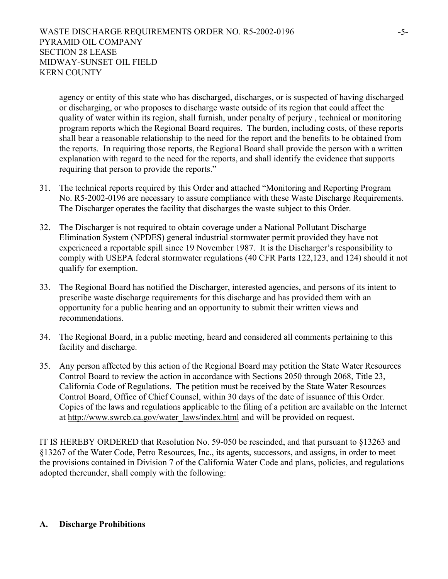agency or entity of this state who has discharged, discharges, or is suspected of having discharged or discharging, or who proposes to discharge waste outside of its region that could affect the quality of water within its region, shall furnish, under penalty of perjury , technical or monitoring program reports which the Regional Board requires. The burden, including costs, of these reports shall bear a reasonable relationship to the need for the report and the benefits to be obtained from the reports. In requiring those reports, the Regional Board shall provide the person with a written explanation with regard to the need for the reports, and shall identify the evidence that supports requiring that person to provide the reports."

- 31. The technical reports required by this Order and attached "Monitoring and Reporting Program No. R5-2002-0196 are necessary to assure compliance with these Waste Discharge Requirements. The Discharger operates the facility that discharges the waste subject to this Order.
- 32. The Discharger is not required to obtain coverage under a National Pollutant Discharge Elimination System (NPDES) general industrial stormwater permit provided they have not experienced a reportable spill since 19 November 1987. It is the Discharger's responsibility to comply with USEPA federal stormwater regulations (40 CFR Parts 122,123, and 124) should it not qualify for exemption.
- 33. The Regional Board has notified the Discharger, interested agencies, and persons of its intent to prescribe waste discharge requirements for this discharge and has provided them with an opportunity for a public hearing and an opportunity to submit their written views and recommendations.
- 34. The Regional Board, in a public meeting, heard and considered all comments pertaining to this facility and discharge.
- 35. Any person affected by this action of the Regional Board may petition the State Water Resources Control Board to review the action in accordance with Sections 2050 through 2068, Title 23, California Code of Regulations. The petition must be received by the State Water Resources Control Board, Office of Chief Counsel, within 30 days of the date of issuance of this Order. Copies of the laws and regulations applicable to the filing of a petition are available on the Internet at http://www.swrcb.ca.gov/water\_laws/index.html and will be provided on request.

IT IS HEREBY ORDERED that Resolution No. 59-050 be rescinded, and that pursuant to §13263 and §13267 of the Water Code, Petro Resources, Inc., its agents, successors, and assigns, in order to meet the provisions contained in Division 7 of the California Water Code and plans, policies, and regulations adopted thereunder, shall comply with the following:

#### **A. Discharge Prohibitions**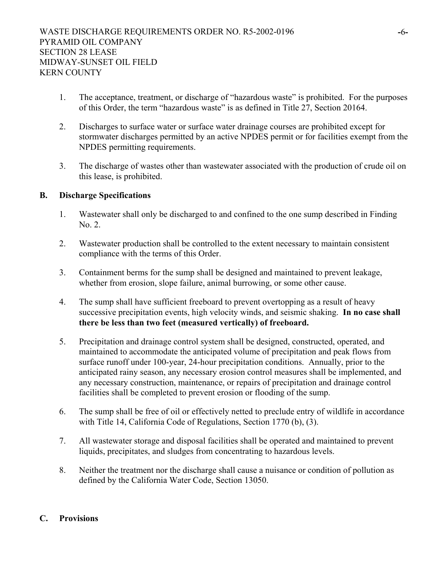- 1. The acceptance, treatment, or discharge of "hazardous waste" is prohibited. For the purposes of this Order, the term "hazardous waste" is as defined in Title 27, Section 20164.
- 2. Discharges to surface water or surface water drainage courses are prohibited except for stormwater discharges permitted by an active NPDES permit or for facilities exempt from the NPDES permitting requirements.
- 3. The discharge of wastes other than wastewater associated with the production of crude oil on this lease, is prohibited.

## **B. Discharge Specifications**

- 1. Wastewater shall only be discharged to and confined to the one sump described in Finding No. 2.
- 2. Wastewater production shall be controlled to the extent necessary to maintain consistent compliance with the terms of this Order.
- 3. Containment berms for the sump shall be designed and maintained to prevent leakage, whether from erosion, slope failure, animal burrowing, or some other cause.
- 4. The sump shall have sufficient freeboard to prevent overtopping as a result of heavy successive precipitation events, high velocity winds, and seismic shaking. **In no case shall there be less than two feet (measured vertically) of freeboard.**
- 5. Precipitation and drainage control system shall be designed, constructed, operated, and maintained to accommodate the anticipated volume of precipitation and peak flows from surface runoff under 100-year, 24-hour precipitation conditions. Annually, prior to the anticipated rainy season, any necessary erosion control measures shall be implemented, and any necessary construction, maintenance, or repairs of precipitation and drainage control facilities shall be completed to prevent erosion or flooding of the sump.
- 6. The sump shall be free of oil or effectively netted to preclude entry of wildlife in accordance with Title 14, California Code of Regulations, Section 1770 (b), (3).
- 7. All wastewater storage and disposal facilities shall be operated and maintained to prevent liquids, precipitates, and sludges from concentrating to hazardous levels.
- 8. Neither the treatment nor the discharge shall cause a nuisance or condition of pollution as defined by the California Water Code, Section 13050.

# **C. Provisions**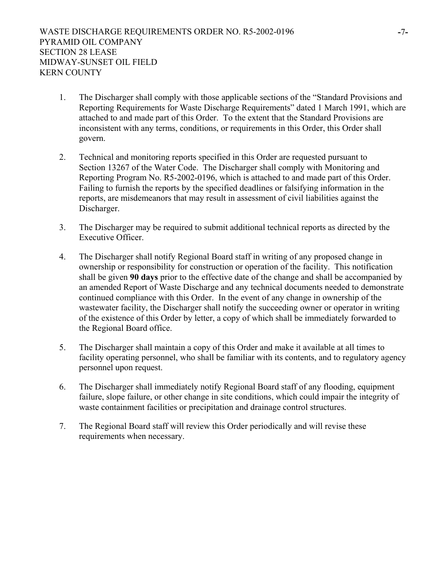- 1. The Discharger shall comply with those applicable sections of the "Standard Provisions and Reporting Requirements for Waste Discharge Requirements" dated 1 March 1991, which are attached to and made part of this Order. To the extent that the Standard Provisions are inconsistent with any terms, conditions, or requirements in this Order, this Order shall govern.
- 2. Technical and monitoring reports specified in this Order are requested pursuant to Section 13267 of the Water Code. The Discharger shall comply with Monitoring and Reporting Program No. R5-2002-0196, which is attached to and made part of this Order. Failing to furnish the reports by the specified deadlines or falsifying information in the reports, are misdemeanors that may result in assessment of civil liabilities against the Discharger.
- 3. The Discharger may be required to submit additional technical reports as directed by the Executive Officer.
- 4. The Discharger shall notify Regional Board staff in writing of any proposed change in ownership or responsibility for construction or operation of the facility. This notification shall be given **90 days** prior to the effective date of the change and shall be accompanied by an amended Report of Waste Discharge and any technical documents needed to demonstrate continued compliance with this Order. In the event of any change in ownership of the wastewater facility, the Discharger shall notify the succeeding owner or operator in writing of the existence of this Order by letter, a copy of which shall be immediately forwarded to the Regional Board office.
- 5. The Discharger shall maintain a copy of this Order and make it available at all times to facility operating personnel, who shall be familiar with its contents, and to regulatory agency personnel upon request.
- 6. The Discharger shall immediately notify Regional Board staff of any flooding, equipment failure, slope failure, or other change in site conditions, which could impair the integrity of waste containment facilities or precipitation and drainage control structures.
- 7. The Regional Board staff will review this Order periodically and will revise these requirements when necessary.